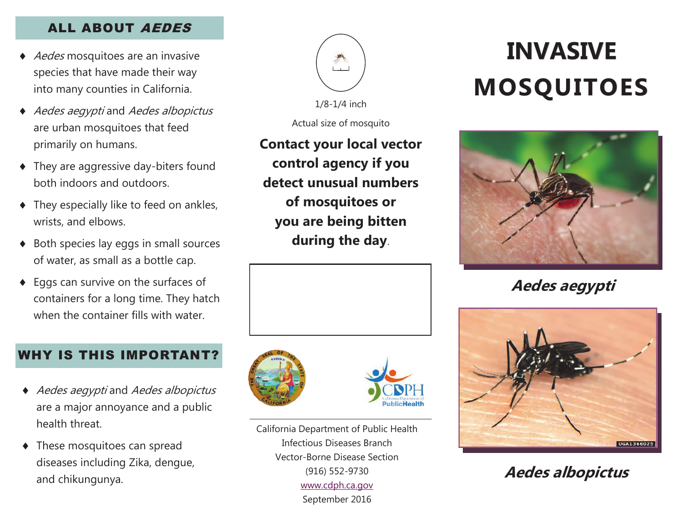### ALL ABOUT AEDES

- ◆ *Aedes* mosquitoes are an invasive species that have made their way into many counties in California.
- Aedes aegypti and Aedes albopictus are urban mosquitoes that feed primarily on humans.
- They are aggressive day-biters found both indoors and outdoors.
- $\bullet$  They especially like to feed on ankles, wrists, and elbows.
- ◆ Both species lay eggs in small sources of water, as small as a bottle cap.
- ◆ Eggs can survive on the surfaces of containers for a long time. They hatch when the container fills with water.

### WHY IS THIS IMPORTANT?

- Aedes aegypti and Aedes albopictus are a major annoyance and a public health threat.
- These mosquitoes can spread diseases including Zika, dengue, and chikungunya.



1/8-1/4 inch

Actual size of mosquito

**Contact your local vector control agency if you detect unusual numbers of mosquitoes or you are being bitten during the day**.





California Department of Public Health Infectious Diseases Branch Vector-Borne Disease Section (916) 552-9730 [www.cdph.ca.gov](http://www.cdph.ca.gov) September 2016

# **INVASIVE MOSQUITOES**



**Aedes aegypti**



**Aedes albopictus**